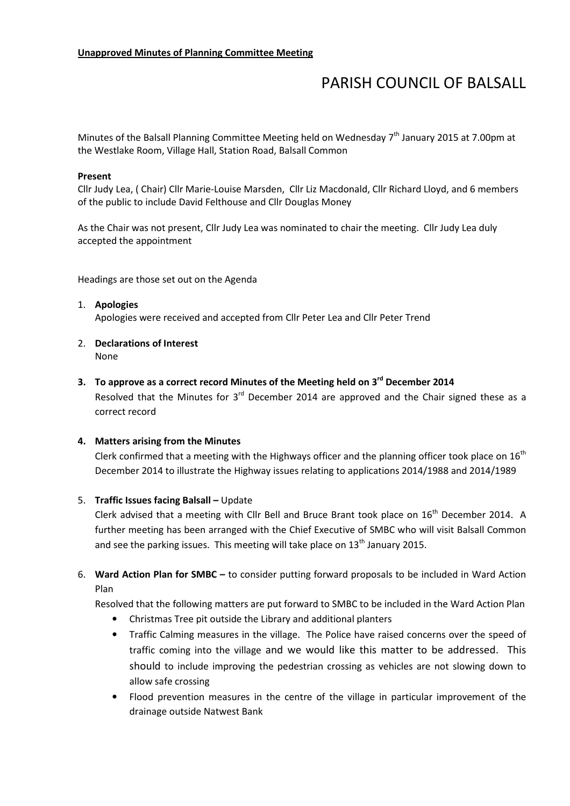# PARISH COUNCIL OF BALSALL

Minutes of the Balsall Planning Committee Meeting held on Wednesday  $7<sup>th</sup>$  January 2015 at 7.00pm at the Westlake Room, Village Hall, Station Road, Balsall Common

#### Present

Cllr Judy Lea, ( Chair) Cllr Marie-Louise Marsden, Cllr Liz Macdonald, Cllr Richard Lloyd, and 6 members of the public to include David Felthouse and Cllr Douglas Money

As the Chair was not present, Cllr Judy Lea was nominated to chair the meeting. Cllr Judy Lea duly accepted the appointment

Headings are those set out on the Agenda

# 1. Apologies

Apologies were received and accepted from Cllr Peter Lea and Cllr Peter Trend

2. Declarations of Interest None

# 3. To approve as a correct record Minutes of the Meeting held on  $3<sup>rd</sup>$  December 2014

Resolved that the Minutes for  $3<sup>rd</sup>$  December 2014 are approved and the Chair signed these as a correct record

#### 4. Matters arising from the Minutes

Clerk confirmed that a meeting with the Highways officer and the planning officer took place on  $16<sup>th</sup>$ December 2014 to illustrate the Highway issues relating to applications 2014/1988 and 2014/1989

#### 5. Traffic Issues facing Balsall – Update

Clerk advised that a meeting with Cllr Bell and Bruce Brant took place on  $16<sup>th</sup>$  December 2014. A further meeting has been arranged with the Chief Executive of SMBC who will visit Balsall Common and see the parking issues. This meeting will take place on  $13<sup>th</sup>$  January 2015.

6. Ward Action Plan for SMBC – to consider putting forward proposals to be included in Ward Action Plan

Resolved that the following matters are put forward to SMBC to be included in the Ward Action Plan

- Christmas Tree pit outside the Library and additional planters
- Traffic Calming measures in the village. The Police have raised concerns over the speed of traffic coming into the village and we would like this matter to be addressed. This should to include improving the pedestrian crossing as vehicles are not slowing down to allow safe crossing
- Flood prevention measures in the centre of the village in particular improvement of the drainage outside Natwest Bank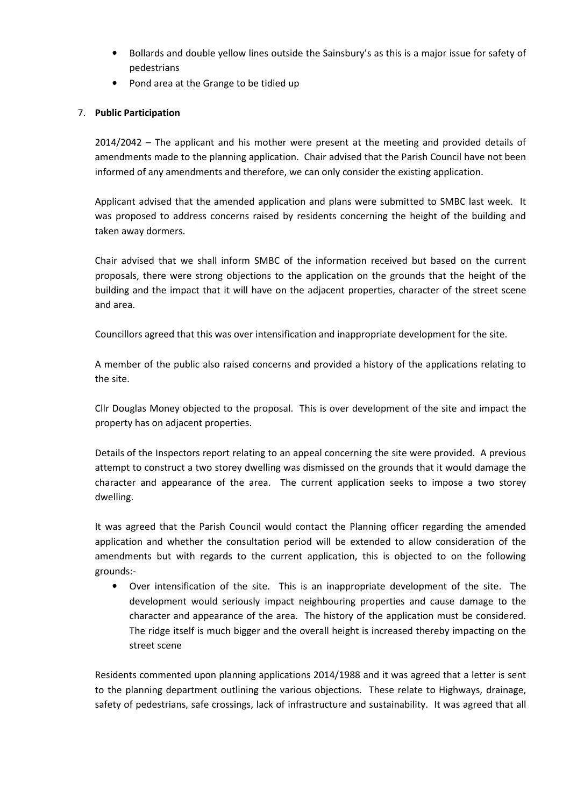- Bollards and double yellow lines outside the Sainsbury's as this is a major issue for safety of pedestrians
- Pond area at the Grange to be tidied up

# 7. Public Participation

2014/2042 – The applicant and his mother were present at the meeting and provided details of amendments made to the planning application. Chair advised that the Parish Council have not been informed of any amendments and therefore, we can only consider the existing application.

Applicant advised that the amended application and plans were submitted to SMBC last week. It was proposed to address concerns raised by residents concerning the height of the building and taken away dormers.

Chair advised that we shall inform SMBC of the information received but based on the current proposals, there were strong objections to the application on the grounds that the height of the building and the impact that it will have on the adjacent properties, character of the street scene and area.

Councillors agreed that this was over intensification and inappropriate development for the site.

A member of the public also raised concerns and provided a history of the applications relating to the site.

Cllr Douglas Money objected to the proposal. This is over development of the site and impact the property has on adjacent properties.

Details of the Inspectors report relating to an appeal concerning the site were provided. A previous attempt to construct a two storey dwelling was dismissed on the grounds that it would damage the character and appearance of the area. The current application seeks to impose a two storey dwelling.

It was agreed that the Parish Council would contact the Planning officer regarding the amended application and whether the consultation period will be extended to allow consideration of the amendments but with regards to the current application, this is objected to on the following grounds:-

• Over intensification of the site. This is an inappropriate development of the site. The development would seriously impact neighbouring properties and cause damage to the character and appearance of the area. The history of the application must be considered. The ridge itself is much bigger and the overall height is increased thereby impacting on the street scene

Residents commented upon planning applications 2014/1988 and it was agreed that a letter is sent to the planning department outlining the various objections. These relate to Highways, drainage, safety of pedestrians, safe crossings, lack of infrastructure and sustainability. It was agreed that all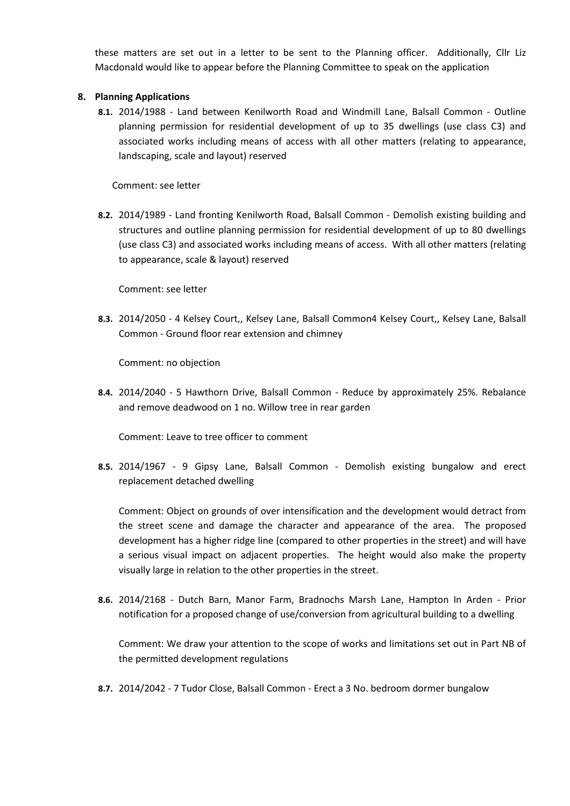these matters are set out in a letter to be sent to the Planning officer. Additionally, Cllr Liz Macdonald would like to appear before the Planning Committee to speak on the application

# 8. Planning Applications

8.1. 2014/1988 - Land between Kenilworth Road and Windmill Lane, Balsall Common - Outline planning permission for residential development of up to 35 dwellings (use class C3) and associated works including means of access with all other matters (relating to appearance, landscaping, scale and layout) reserved

Comment: see letter

8.2. 2014/1989 - Land fronting Kenilworth Road, Balsall Common - Demolish existing building and structures and outline planning permission for residential development of up to 80 dwellings (use class C3) and associated works including means of access. With all other matters (relating to appearance, scale & layout) reserved

Comment: see letter

8.3. 2014/2050 - 4 Kelsey Court,, Kelsey Lane, Balsall Common4 Kelsey Court,, Kelsey Lane, Balsall Common - Ground floor rear extension and chimney

Comment: no objection

8.4. 2014/2040 - 5 Hawthorn Drive, Balsall Common - Reduce by approximately 25%. Rebalance and remove deadwood on 1 no. Willow tree in rear garden

Comment: Leave to tree officer to comment

8.5. 2014/1967 - 9 Gipsy Lane, Balsall Common - Demolish existing bungalow and erect replacement detached dwelling

Comment: Object on grounds of over intensification and the development would detract from the street scene and damage the character and appearance of the area. The proposed development has a higher ridge line (compared to other properties in the street) and will have a serious visual impact on adjacent properties. The height would also make the property visually large in relation to the other properties in the street.

8.6. 2014/2168 - Dutch Barn, Manor Farm, Bradnochs Marsh Lane, Hampton In Arden - Prior notification for a proposed change of use/conversion from agricultural building to a dwelling

Comment: We draw your attention to the scope of works and limitations set out in Part NB of the permitted development regulations

8.7. 2014/2042 - 7 Tudor Close, Balsall Common - Erect a 3 No. bedroom dormer bungalow